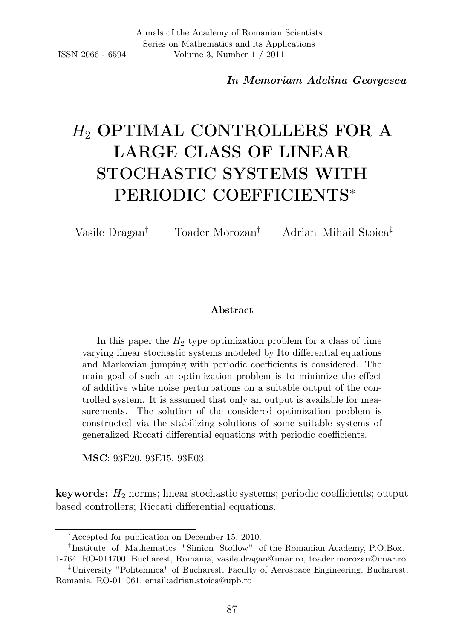In Memoriam Adelina Georgescu

# H<sup>2</sup> OPTIMAL CONTROLLERS FOR A LARGE CLASS OF LINEAR STOCHASTIC SYSTEMS WITH PERIODIC COEFFICIENTS<sup>∗</sup>

Vasile Dragan† Toader Morozan† Adrian–Mihail Stoica‡

#### Abstract

In this paper the  $H_2$  type optimization problem for a class of time varying linear stochastic systems modeled by Ito differential equations and Markovian jumping with periodic coefficients is considered. The main goal of such an optimization problem is to minimize the effect of additive white noise perturbations on a suitable output of the controlled system. It is assumed that only an output is available for measurements. The solution of the considered optimization problem is constructed via the stabilizing solutions of some suitable systems of generalized Riccati differential equations with periodic coefficients.

MSC: 93E20, 93E15, 93E03.

**keywords:**  $H_2$  norms; linear stochastic systems; periodic coefficients; output based controllers; Riccati differential equations.

† Institute of Mathematics "Simion Stoilow" of the Romanian Academy, P.O.Box. 1-764, RO-014700, Bucharest, Romania, vasile.dragan@imar.ro, toader.morozan@imar.ro

<sup>∗</sup>Accepted for publication on December 15, 2010.

<sup>‡</sup>University "Politehnica" of Bucharest, Faculty of Aerospace Engineering, Bucharest, Romania, RO-011061, email:adrian.stoica@upb.ro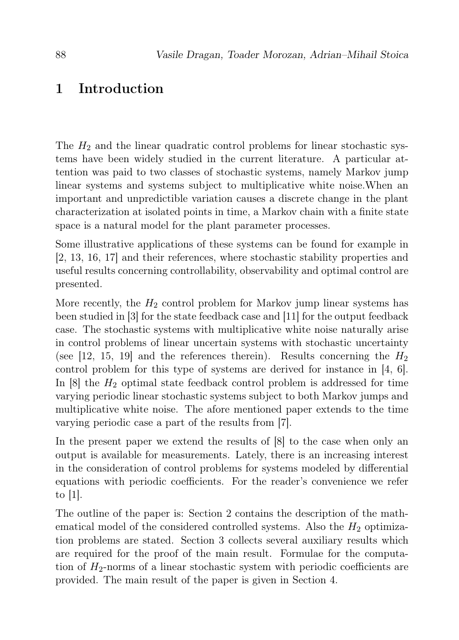#### 1 Introduction

The  $H_2$  and the linear quadratic control problems for linear stochastic systems have been widely studied in the current literature. A particular attention was paid to two classes of stochastic systems, namely Markov jump linear systems and systems subject to multiplicative white noise.When an important and unpredictible variation causes a discrete change in the plant characterization at isolated points in time, a Markov chain with a finite state space is a natural model for the plant parameter processes.

Some illustrative applications of these systems can be found for example in [2, 13, 16, 17] and their references, where stochastic stability properties and useful results concerning controllability, observability and optimal control are presented.

More recently, the  $H_2$  control problem for Markov jump linear systems has been studied in [3] for the state feedback case and [11] for the output feedback case. The stochastic systems with multiplicative white noise naturally arise in control problems of linear uncertain systems with stochastic uncertainty (see [12, 15, 19] and the references therein). Results concerning the  $H_2$ control problem for this type of systems are derived for instance in [4, 6]. In  $[8]$  the  $H_2$  optimal state feedback control problem is addressed for time varying periodic linear stochastic systems subject to both Markov jumps and multiplicative white noise. The afore mentioned paper extends to the time varying periodic case a part of the results from [7].

In the present paper we extend the results of [8] to the case when only an output is available for measurements. Lately, there is an increasing interest in the consideration of control problems for systems modeled by differential equations with periodic coefficients. For the reader's convenience we refer to [1].

The outline of the paper is: Section 2 contains the description of the mathematical model of the considered controlled systems. Also the  $H_2$  optimization problems are stated. Section 3 collects several auxiliary results which are required for the proof of the main result. Formulae for the computation of  $H_2$ -norms of a linear stochastic system with periodic coefficients are provided. The main result of the paper is given in Section 4.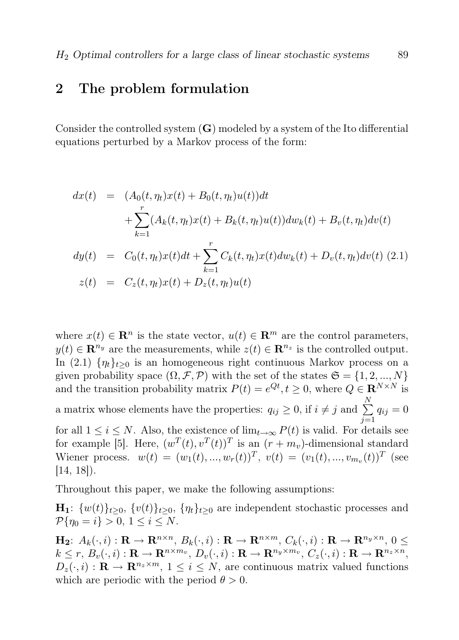#### 2 The problem formulation

Consider the controlled system  $(G)$  modeled by a system of the Ito differential equations perturbed by a Markov process of the form:

$$
dx(t) = (A_0(t, \eta_t)x(t) + B_0(t, \eta_t)u(t))dt
$$
  
+ 
$$
\sum_{k=1}^r (A_k(t, \eta_t)x(t) + B_k(t, \eta_t)u(t))dw_k(t) + B_v(t, \eta_t)dv(t)
$$
  

$$
dy(t) = C_0(t, \eta_t)x(t)dt + \sum_{k=1}^r C_k(t, \eta_t)x(t)dw_k(t) + D_v(t, \eta_t)dv(t)
$$
 (2.1)  

$$
z(t) = C_z(t, \eta_t)x(t) + D_z(t, \eta_t)u(t)
$$

where  $x(t) \in \mathbb{R}^n$  is the state vector,  $u(t) \in \mathbb{R}^m$  are the control parameters,  $y(t) \in \mathbb{R}^{n_y}$  are the measurements, while  $z(t) \in \mathbb{R}^{n_z}$  is the controlled output. In (2.1)  $\{\eta_t\}_{t>0}$  is an homogeneous right continuous Markov process on a given probability space  $(\Omega, \mathcal{F}, \mathcal{P})$  with the set of the states  $\mathfrak{S} = \{1, 2, ..., N\}$ and the transition probability matrix  $P(t) = e^{Qt}$ ,  $t \geq 0$ , where  $Q \in \mathbb{R}^{N \times N}$  is a matrix whose elements have the properties:  $q_{ij} \geq 0$ , if  $i \neq j$  and  $\sum^N$  $j=1$  $q_{ij} = 0$ for all  $1 \leq i \leq N$ . Also, the existence of  $\lim_{t\to\infty} P(t)$  is valid. For details see for example [5]. Here,  $(w^T(t), v^T(t))^T$  is an  $(r + m_v)$ -dimensional standard Wiener process.  $w(t) = (w_1(t), ..., w_r(t))^T$ ,  $v(t) = (v_1(t), ..., v_{m_v}(t))^T$  (see [14, 18]).

Throughout this paper, we make the following assumptions:

 $\mathbf{H}_1$ :  $\{w(t)\}_{t>0}$ ,  $\{v(t)\}_{t>0}$ ,  $\{\eta_t\}_{t>0}$  are independent stochastic processes and  $P\{n_0 = i\} > 0, 1 \le i \le N$ .

 $\mathbf{H_2}: A_k(\cdot,i): \mathbf{R} \to \mathbf{R}^{n \times n}, B_k(\cdot,i): \mathbf{R} \to \mathbf{R}^{n \times m}, C_k(\cdot,i): \mathbf{R} \to \mathbf{R}^{n_y \times n}, 0 \leq$  $k \leq r, B_v(\cdot, i): \mathbf{R} \to \mathbf{R}^{n \times m_v}, D_v(\cdot, i): \mathbf{R} \to \mathbf{R}^{n_y \times m_v}, C_z(\cdot, i): \mathbf{R} \to \mathbf{R}^{n_z \times n},$  $D_z(\cdot, i): \mathbf{R} \to \mathbf{R}^{n_z \times m}, 1 \leq i \leq N$ , are continuous matrix valued functions which are periodic with the period  $\theta > 0$ .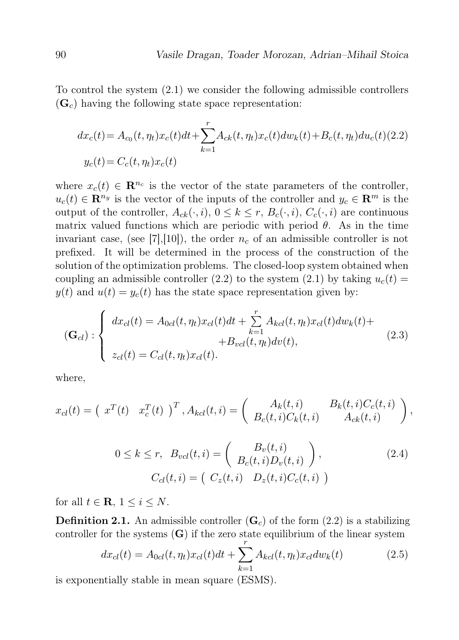To control the system (2.1) we consider the following admissible controllers  $(\mathbf{G}_c)$  having the following state space representation:

$$
dx_c(t) = A_{c_0}(t, \eta_t)x_c(t)dt + \sum_{k=1}^r A_{ck}(t, \eta_t)x_c(t)dw_k(t) + B_c(t, \eta_t)du_c(t)
$$
(2.2)  

$$
y_c(t) = C_c(t, \eta_t)x_c(t)
$$

where  $x_c(t) \in \mathbb{R}^{n_c}$  is the vector of the state parameters of the controller,  $u_c(t) \in \mathbb{R}^{n_y}$  is the vector of the inputs of the controller and  $y_c \in \mathbb{R}^m$  is the output of the controller,  $A_{ck}(\cdot, i)$ ,  $0 \le k \le r$ ,  $B_c(\cdot, i)$ ,  $C_c(\cdot, i)$  are continuous matrix valued functions which are periodic with period  $\theta$ . As in the time invariant case, (see [7],[10]), the order  $n_c$  of an admissible controller is not prefixed. It will be determined in the process of the construction of the solution of the optimization problems. The closed-loop system obtained when coupling an admissible controller (2.2) to the system (2.1) by taking  $u_c(t)$  =  $y(t)$  and  $u(t) = y_c(t)$  has the state space representation given by:

$$
(\mathbf{G}_{cl}) : \begin{cases} dx_{cl}(t) = A_{0cl}(t, \eta_t) x_{cl}(t) dt + \sum_{k=1}^{r} A_{kcl}(t, \eta_t) x_{cl}(t) dw_k(t) + \\ + B_{vcl}(t, \eta_t) dv(t), \end{cases} (2.3)
$$

where,

$$
x_{cl}(t) = \begin{pmatrix} x^T(t) & x_c^T(t) \end{pmatrix}^T, A_{kcl}(t,i) = \begin{pmatrix} A_k(t,i) & B_k(t,i)C_c(t,i) \\ B_c(t,i)C_k(t,i) & A_{ck}(t,i) \end{pmatrix},
$$

$$
0 \le k \le r, \quad B_{vel}(t,i) = \begin{pmatrix} B_v(t,i) \\ B_c(t,i)D_v(t,i) \end{pmatrix},
$$
  
\n
$$
C_{cl}(t,i) = \begin{pmatrix} C_z(t,i) & D_z(t,i)C_c(t,i) \end{pmatrix}
$$
 (2.4)

for all  $t \in \mathbf{R}, 1 \leq i \leq N$ .

**Definition 2.1.** An admissible controller  $(G<sub>c</sub>)$  of the form (2.2) is a stabilizing controller for the systems  $(G)$  if the zero state equilibrium of the linear system

$$
dx_{cl}(t) = A_{0cl}(t, \eta_t)x_{cl}(t)dt + \sum_{k=1}^{r} A_{kcl}(t, \eta_t)x_{cl}dw_k(t)
$$
 (2.5)

is exponentially stable in mean square (ESMS).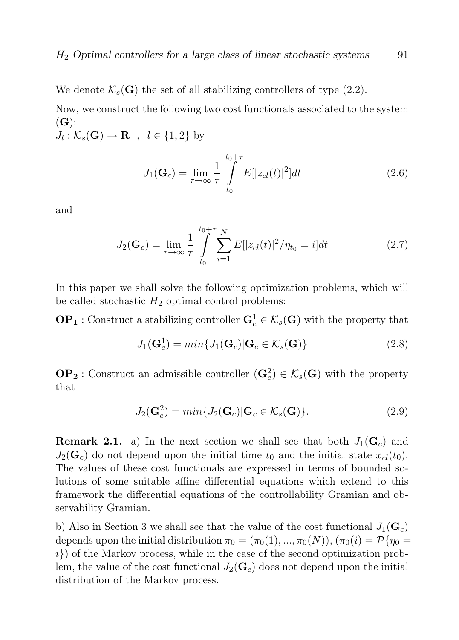We denote  $\mathcal{K}_s(G)$  the set of all stabilizing controllers of type (2.2).

Now, we construct the following two cost functionals associated to the system  $(G):$  $J_l: \mathcal{K}_s(\mathbf{G}) \to \mathbf{R}^+, \ \ l \in \{1,2\}$  by

$$
J_1(\mathbf{G}_c) = \lim_{\tau \to \infty} \frac{1}{\tau} \int_{t_0}^{t_0 + \tau} E[|z_{cl}(t)|^2] dt
$$
 (2.6)

and

$$
J_2(\mathbf{G}_c) = \lim_{\tau \to \infty} \frac{1}{\tau} \int_{t_0}^{t_0 + \tau} \sum_{i=1}^N E[|z_{cl}(t)|^2 / \eta_{t_0} = i] dt \qquad (2.7)
$$

In this paper we shall solve the following optimization problems, which will be called stochastic  $H_2$  optimal control problems:

 $\mathbf{OP}_1$ : Construct a stabilizing controller  $\mathbf{G}_c^1 \in \mathcal{K}_s(\mathbf{G})$  with the property that

$$
J_1(\mathbf{G}_c^1) = min\{J_1(\mathbf{G}_c) | \mathbf{G}_c \in \mathcal{K}_s(\mathbf{G})\}
$$
\n(2.8)

 $\mathbf{OP_2}:$  Construct an admissible controller  $(\mathbf{G}_c^2) \in \mathcal{K}_s(\mathbf{G})$  with the property that

$$
J_2(\mathbf{G}_c^2) = \min\{J_2(\mathbf{G}_c)|\mathbf{G}_c \in \mathcal{K}_s(\mathbf{G})\}.
$$
\n(2.9)

**Remark 2.1.** a) In the next section we shall see that both  $J_1(G_c)$  and  $J_2(\mathbf{G}_c)$  do not depend upon the initial time  $t_0$  and the initial state  $x_{cl}(t_0)$ . The values of these cost functionals are expressed in terms of bounded solutions of some suitable affine differential equations which extend to this framework the differential equations of the controllability Gramian and observability Gramian.

b) Also in Section 3 we shall see that the value of the cost functional  $J_1(\mathbf{G}_c)$ depends upon the initial distribution  $\pi_0 = (\pi_0(1), ..., \pi_0(N)), (\pi_0(i) = \mathcal{P}\{\eta_0 =$  $i)$  of the Markov process, while in the case of the second optimization problem, the value of the cost functional  $J_2(G_c)$  does not depend upon the initial distribution of the Markov process.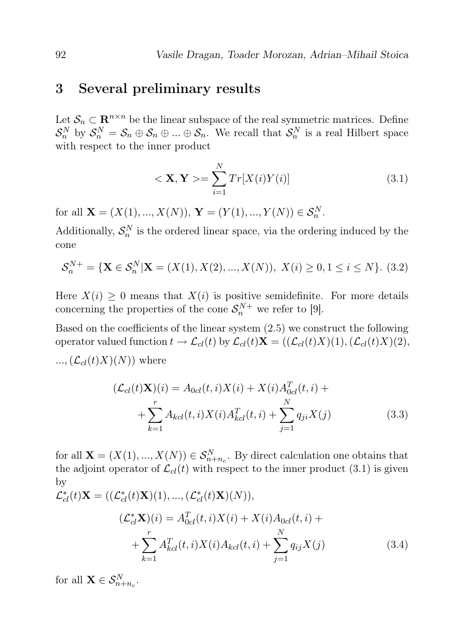#### 3 Several preliminary results

Let  $\mathcal{S}_n \subset \mathbb{R}^{n \times n}$  be the linear subspace of the real symmetric matrices. Define  $S_n^N$  by  $S_n^N = S_n \oplus S_n \oplus ... \oplus S_n$ . We recall that  $S_n^N$  is a real Hilbert space with respect to the inner product

$$
<\mathbf{X}, \mathbf{Y} > = \sum_{i=1}^{N} Tr[X(i)Y(i)]
$$
 (3.1)

for all  $\mathbf{X} = (X(1), ..., X(N)), \mathbf{Y} = (Y(1), ..., Y(N)) \in \mathcal{S}_n^N$ .

Additionally,  $S_n^N$  is the ordered linear space, via the ordering induced by the cone

$$
\mathcal{S}_n^{N+} = \{ \mathbf{X} \in \mathcal{S}_n^N | \mathbf{X} = (X(1), X(2), ..., X(N)), \ X(i) \ge 0, 1 \le i \le N \}. \tag{3.2}
$$

Here  $X(i) \geq 0$  means that  $X(i)$  is positive semidefinite. For more details concerning the properties of the cone  $S_n^{N+}$  we refer to [9].

Based on the coefficients of the linear system (2.5) we construct the following operator valued function  $t \to \mathcal{L}_{cl}(t)$  by  $\mathcal{L}_{cl}(t)X = ((\mathcal{L}_{cl}(t)X)(1),(\mathcal{L}_{cl}(t)X)(2),$  $\ldots$ ,  $(\mathcal{L}_{cl}(t)X)(N)$  where

$$
(\mathcal{L}_{cl}(t)\mathbf{X})(i) = A_{0cl}(t,i)X(i) + X(i)A_{0cl}^T(t,i) +
$$
  
+ 
$$
\sum_{k=1}^r A_{kcl}(t,i)X(i)A_{kcl}^T(t,i) + \sum_{j=1}^N q_{ji}X(j)
$$
(3.3)

for all  $\mathbf{X} = (X(1), ..., X(N)) \in S_{n+n_c}^N$ . By direct calculation one obtains that the adjoint operator of  $\mathcal{L}_{cl}(t)$  with respect to the inner product (3.1) is given by

$$
\mathcal{L}_{cl}^{*}(t)\mathbf{X} = ((\mathcal{L}_{cl}^{*}(t)\mathbf{X})(1), ..., (\mathcal{L}_{cl}^{*}(t)\mathbf{X})(N)),
$$
\n
$$
(\mathcal{L}_{cl}^{*}\mathbf{X})(i) = A_{0cl}^{T}(t, i)X(i) + X(i)A_{0cl}(t, i) + \sum_{k=1}^{r} A_{kcl}^{T}(t, i)X(i)A_{kcl}(t, i) + \sum_{j=1}^{N} q_{ij}X(j)
$$
\n(3.4)

for all  $\mathbf{X} \in \mathcal{S}_{n+n_c}^N$ .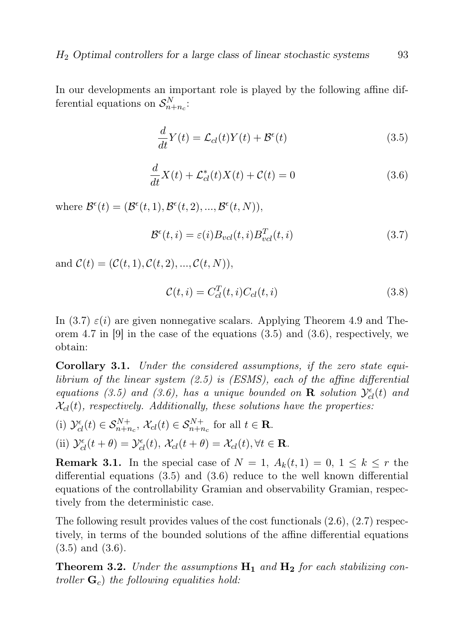In our developments an important role is played by the following affine differential equations on  $S_{n+n_c}^N$ :

$$
\frac{d}{dt}Y(t) = \mathcal{L}_{cl}(t)Y(t) + \mathcal{B}^{\epsilon}(t)
$$
\n(3.5)

$$
\frac{d}{dt}X(t) + \mathcal{L}_{cl}^*(t)X(t) + \mathcal{C}(t) = 0
$$
\n(3.6)

where  $\mathcal{B}^{\epsilon}(t) = (\mathcal{B}^{\epsilon}(t,1), \mathcal{B}^{\epsilon}(t,2), ..., \mathcal{B}^{\epsilon}(t,N)),$ 

$$
\mathcal{B}^{\epsilon}(t,i) = \varepsilon(i) B_{vcl}(t,i) B_{vcl}^{T}(t,i)
$$
\n(3.7)

and  $C(t) = (C(t, 1), C(t, 2), ..., C(t, N)),$ 

$$
\mathcal{C}(t,i) = C_{cl}^T(t,i)C_{cl}(t,i)
$$
\n(3.8)

In (3.7)  $\varepsilon(i)$  are given nonnegative scalars. Applying Theorem 4.9 and Theorem 4.7 in  $[9]$  in the case of the equations  $(3.5)$  and  $(3.6)$ , respectively, we obtain:

Corollary 3.1. Under the considered assumptions, if the zero state equilibrium of the linear system (2.5) is (ESMS), each of the affine differential equations (3.5) and (3.6), has a unique bounded on **R** solution  $\mathcal{Y}_{cl}^{\epsilon}(t)$  and  $\mathcal{X}_{cl}(t)$ , respectively. Additionally, these solutions have the properties:

(i) 
$$
\mathcal{Y}_{cl}^{\epsilon}(t) \in \mathcal{S}_{n+n_c}^{N+}, \mathcal{X}_{cl}(t) \in \mathcal{S}_{n+n_c}^{N+}
$$
 for all  $t \in \mathbf{R}$ .

(ii) 
$$
\mathcal{Y}_{cl}^{\epsilon}(t+\theta) = \mathcal{Y}_{cl}^{\epsilon}(t), \ \mathcal{X}_{cl}(t+\theta) = \mathcal{X}_{cl}(t), \forall t \in \mathbf{R}.
$$

**Remark 3.1.** In the special case of  $N = 1$ ,  $A_k(t, 1) = 0$ ,  $1 \leq k \leq r$  the differential equations (3.5) and (3.6) reduce to the well known differential equations of the controllability Gramian and observability Gramian, respectively from the deterministic case.

The following result provides values of the cost functionals (2.6), (2.7) respectively, in terms of the bounded solutions of the affine differential equations (3.5) and (3.6).

**Theorem 3.2.** Under the assumptions  $H_1$  and  $H_2$  for each stabilizing controller  $\mathbf{G}_c$ ) the following equalities hold: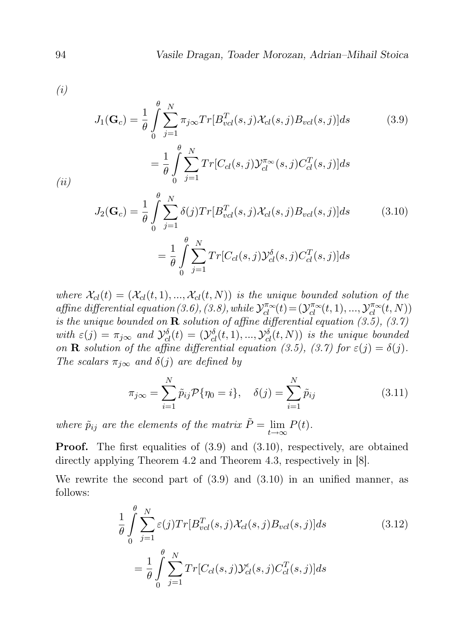$Tr[C_{cl}(s,j)\mathcal{Y}_{cl}^{\pi_\infty}(s,j)C_{cl}^T(s,j)]ds$ 

(i)

$$
J_1(\mathbf{G}_c) = \frac{1}{\theta} \int_0^{\theta} \sum_{j=1}^N \pi_{j\infty} Tr[B_{vel}^T(s,j) \mathcal{X}_{cl}(s,j) B_{vel}(s,j)] ds \qquad (3.9)
$$

$$
(ii)
$$

$$
J_2(\mathbf{G}_c) = \frac{1}{\theta} \int_0^{\theta} \sum_{j=1}^N \delta(j) Tr[B_{vel}^T(s, j) \mathcal{X}_{cl}(s, j) B_{vel}(s, j)] ds
$$
(3.10)  

$$
= \frac{1}{\theta} \int_0^{\theta} \sum_{j=1}^N Tr[C_{cl}(s, j) \mathcal{Y}_{cl}^{\delta}(s, j) C_{cl}^T(s, j)] ds
$$

where  $\mathcal{X}_{cl}(t) = (\mathcal{X}_{cl}(t, 1), ..., \mathcal{X}_{cl}(t, N))$  is the unique bounded solution of the affine differential equation (3.6), (3.8), while  $\mathcal{Y}_{cl}^{\pi_{\infty}}(t) = (\mathcal{Y}_{cl}^{\pi_{\infty}}(t,1),...,\mathcal{Y}_{cl}^{\pi_{\infty}}(t,N))$ is the unique bounded on **R** solution of affine differential equation  $(3.5)$ ,  $(3.7)$ with  $\varepsilon(j) = \pi_{j\infty}$  and  $\mathcal{Y}_{cl}^{\delta}(t) = (\mathcal{Y}_{cl}^{\delta}(t,1),...,\mathcal{Y}_{cl}^{\delta}(t,N))$  is the unique bounded on **R** solution of the affine differential equation (3.5), (3.7) for  $\varepsilon(j) = \delta(j)$ . The scalars  $\pi_{j\infty}$  and  $\delta(j)$  are defined by

$$
\pi_{j\infty} = \sum_{i=1}^{N} \tilde{p}_{ij} \mathcal{P}\{\eta_0 = i\}, \quad \delta(j) = \sum_{i=1}^{N} \tilde{p}_{ij}
$$
\n(3.11)

where  $\tilde{p}_{ij}$  are the elements of the matrix  $\tilde{P} = \lim_{t \to \infty} P(t)$ .

 $=\frac{1}{2}$ θ

 $\theta$ 

 $\sum$ N

 $j=1$ 

0

**Proof.** The first equalities of  $(3.9)$  and  $(3.10)$ , respectively, are obtained directly applying Theorem 4.2 and Theorem 4.3, respectively in [8].

We rewrite the second part of (3.9) and (3.10) in an unified manner, as follows:

$$
\frac{1}{\theta} \int_{0}^{\theta} \sum_{j=1}^{N} \varepsilon(j) Tr[B_{vel}^T(s,j) \mathcal{X}_{cl}(s,j) B_{vel}(s,j)] ds
$$
\n
$$
= \frac{1}{\theta} \int_{0}^{\theta} \sum_{j=1}^{N} Tr[C_{cl}(s,j) \mathcal{Y}_{cl}^{\epsilon}(s,j) C_{cl}^T(s,j)] ds
$$
\n(3.12)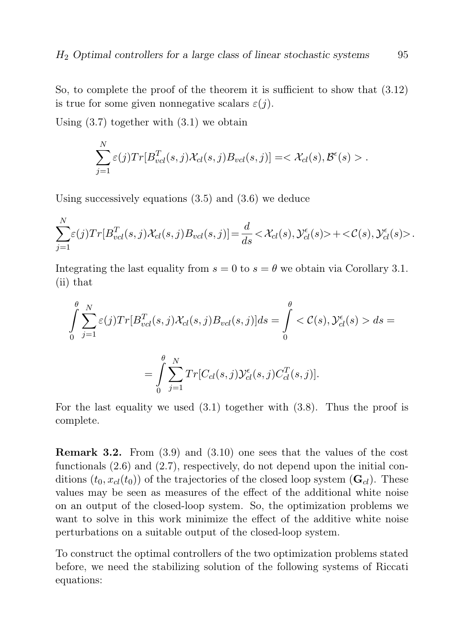So, to complete the proof of the theorem it is sufficient to show that (3.12) is true for some given nonnegative scalars  $\varepsilon(j)$ .

Using  $(3.7)$  together with  $(3.1)$  we obtain

$$
\sum_{j=1}^N \varepsilon(j) Tr[B_{vcl}^T(s,j) \mathcal{X}_{cl}(s,j) B_{vcl}(s,j)] = <\mathcal{X}_{cl}(s), \mathcal{B}^{\epsilon}(s) >.
$$

Using successively equations (3.5) and (3.6) we deduce

$$
\sum_{j=1}^N \varepsilon(j) Tr[B_{vel}^T(s,j) \mathcal{X}_{cl}(s,j) B_{vel}(s,j)] = \frac{d}{ds} \langle \mathcal{X}_{cl}(s), \mathcal{Y}_{cl}^{\epsilon}(s) \rangle + \langle \mathcal{C}(s), \mathcal{Y}_{cl}^{\epsilon}(s) \rangle.
$$

Integrating the last equality from  $s = 0$  to  $s = \theta$  we obtain via Corollary 3.1. (ii) that

$$
\int_{0}^{\theta} \sum_{j=1}^{N} \varepsilon(j) Tr[B_{vel}^T(s,j) \mathcal{X}_{cl}(s,j) B_{vel}(s,j)] ds = \int_{0}^{\theta} \langle \mathcal{C}(s), \mathcal{Y}_{cl}^{\epsilon}(s) \rangle ds =
$$

$$
= \int_{0}^{\theta} \sum_{j=1}^{N} Tr[C_{cl}(s,j) \mathcal{Y}_{cl}^{\epsilon}(s,j) C_{cl}^T(s,j)].
$$

For the last equality we used  $(3.1)$  together with  $(3.8)$ . Thus the proof is complete.

**Remark 3.2.** From  $(3.9)$  and  $(3.10)$  one sees that the values of the cost functionals (2.6) and (2.7), respectively, do not depend upon the initial conditions  $(t_0, x_{cl}(t_0))$  of the trajectories of the closed loop system  $(\mathbf{G}_{cl})$ . These values may be seen as measures of the effect of the additional white noise on an output of the closed-loop system. So, the optimization problems we want to solve in this work minimize the effect of the additive white noise perturbations on a suitable output of the closed-loop system.

To construct the optimal controllers of the two optimization problems stated before, we need the stabilizing solution of the following systems of Riccati equations: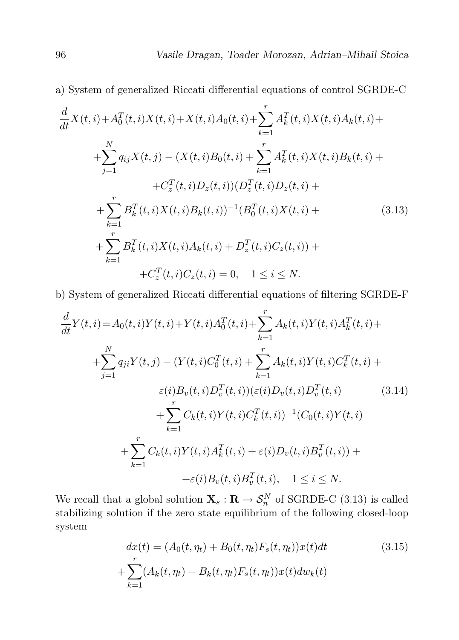a) System of generalized Riccati differential equations of control SGRDE-C

$$
\frac{d}{dt}X(t,i) + A_0^T(t,i)X(t,i) + X(t,i)A_0(t,i) + \sum_{k=1}^r A_k^T(t,i)X(t,i)A_k(t,i) +
$$
\n
$$
+ \sum_{j=1}^N q_{ij}X(t,j) - (X(t,i)B_0(t,i) + \sum_{k=1}^r A_k^T(t,i)X(t,i)B_k(t,i) +
$$
\n
$$
+ C_z^T(t,i)D_z(t,i))(D_z^T(t,i)D_z(t,i) +
$$
\n
$$
+ \sum_{k=1}^r B_k^T(t,i)X(t,i)B_k(t,i))^{-1}(B_0^T(t,i)X(t,i) +
$$
\n
$$
+ \sum_{k=1}^r B_k^T(t,i)X(t,i)A_k(t,i) + D_z^T(t,i)C_z(t,i)) +
$$
\n
$$
+ C_z^T(t,i)C_z(t,i) = 0, \quad 1 \le i \le N.
$$
\n(3.13)

b) System of generalized Riccati differential equations of filtering SGRDE-F

$$
\frac{d}{dt}Y(t,i) = A_0(t,i)Y(t,i) + Y(t,i)A_0^T(t,i) + \sum_{k=1}^r A_k(t,i)Y(t,i)A_k^T(t,i) + \sum_{j=1}^N q_{ji}Y(t,j) - (Y(t,i)C_0^T(t,i) + \sum_{k=1}^r A_k(t,i)Y(t,i)C_k^T(t,i) + \varepsilon(i)B_v(t,i)D_v^T(t,i))( \varepsilon(i)D_v(t,i)D_v^T(t,i) - \sum_{k=1}^r C_k(t,i)Y(t,i)C_k^T(t,i))^{-1}(C_0(t,i)Y(t,i) + \sum_{k=1}^r C_k(t,i)Y(t,i)A_k^T(t,i) + \varepsilon(i)D_v(t,i)B_v^T(t,i)) + \varepsilon(i)B_v(t,i)B_v^T(t,i), \quad 1 \le i \le N.
$$
\n(8.14)

We recall that a global solution  $\mathbf{X}_s : \mathbf{R} \to \mathcal{S}_n^N$  of SGRDE-C (3.13) is called stabilizing solution if the zero state equilibrium of the following closed-loop system

$$
dx(t) = (A_0(t, \eta_t) + B_0(t, \eta_t) F_s(t, \eta_t)) x(t) dt
$$
  
+ 
$$
\sum_{k=1}^r (A_k(t, \eta_t) + B_k(t, \eta_t) F_s(t, \eta_t)) x(t) dw_k(t)
$$
 (3.15)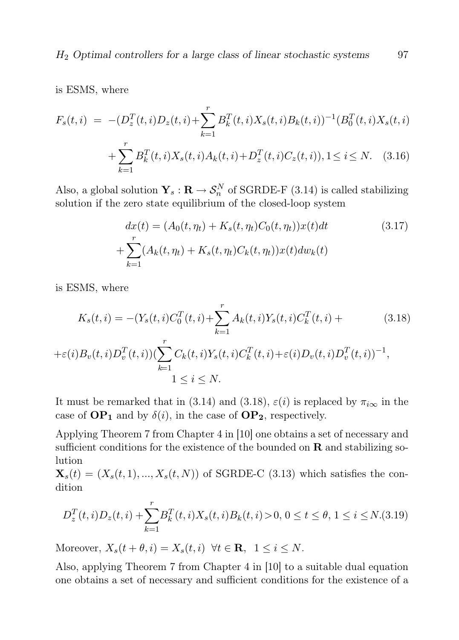is ESMS, where

$$
F_s(t,i) = -(D_z^T(t,i)D_z(t,i) + \sum_{k=1}^r B_k^T(t,i)X_s(t,i)B_k(t,i))^{-1}(B_0^T(t,i)X_s(t,i) + \sum_{k=1}^r B_k^T(t,i)X_s(t,i)A_k(t,i) + D_z^T(t,i)C_z(t,i)), 1 \le i \le N. \quad (3.16)
$$

Also, a global solution  $\mathbf{Y}_s : \mathbf{R} \to \mathcal{S}_n^N$  of SGRDE-F (3.14) is called stabilizing solution if the zero state equilibrium of the closed-loop system

$$
dx(t) = (A_0(t, \eta_t) + K_s(t, \eta_t)C_0(t, \eta_t))x(t)dt
$$
\n
$$
+ \sum_{k=1}^r (A_k(t, \eta_t) + K_s(t, \eta_t)C_k(t, \eta_t))x(t)dw_k(t)
$$
\n(3.17)

is ESMS, where

$$
K_s(t, i) = -(Y_s(t, i)C_0^T(t, i) + \sum_{k=1}^r A_k(t, i)Y_s(t, i)C_k^T(t, i) +
$$
  

$$
+\varepsilon(i)B_v(t, i)D_v^T(t, i))(\sum_{k=1}^r C_k(t, i)Y_s(t, i)C_k^T(t, i) + \varepsilon(i)D_v(t, i)D_v^T(t, i))^{-1},
$$
  

$$
1 \le i \le N.
$$
 (3.18)

It must be remarked that in (3.14) and (3.18),  $\varepsilon(i)$  is replaced by  $\pi_{i\infty}$  in the case of  $\mathbf{OP}_1$  and by  $\delta(i)$ , in the case of  $\mathbf{OP}_2$ , respectively.

Applying Theorem 7 from Chapter 4 in [10] one obtains a set of necessary and sufficient conditions for the existence of the bounded on  $\bf R$  and stabilizing solution

 $\mathbf{X}_s(t) = (X_s(t, 1), ..., X_s(t, N))$  of SGRDE-C (3.13) which satisfies the condition

$$
D_z^T(t,i)D_z(t,i) + \sum_{k=1}^r B_k^T(t,i)X_s(t,i)B_k(t,i) > 0, 0 \le t \le \theta, 1 \le i \le N.(3.19)
$$

Moreover,  $X_s(t + \theta, i) = X_s(t, i) \ \forall t \in \mathbf{R}, \ 1 \leq i \leq N$ .

Also, applying Theorem 7 from Chapter 4 in [10] to a suitable dual equation one obtains a set of necessary and sufficient conditions for the existence of a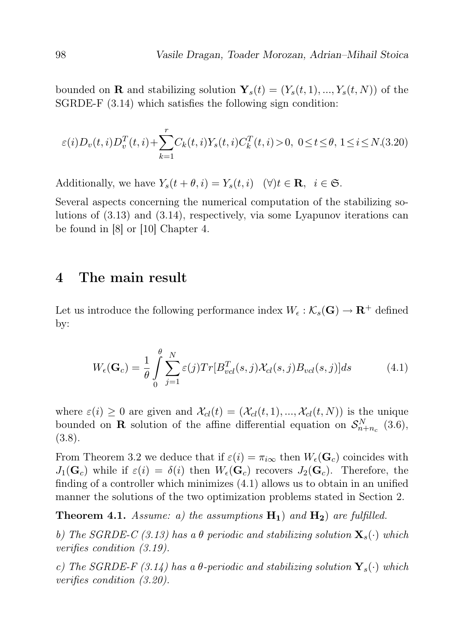bounded on **R** and stabilizing solution  $\mathbf{Y}_s(t) = (Y_s(t, 1), ..., Y_s(t, N))$  of the SGRDE-F (3.14) which satisfies the following sign condition:

$$
\varepsilon(i)D_v(t,i)D_v^T(t,i) + \sum_{k=1}^r C_k(t,i)Y_s(t,i)C_k^T(t,i) > 0, \ 0 \le t \le \theta, \ 1 \le i \le N. \tag{3.20}
$$

Additionally, we have  $Y_s(t + \theta, i) = Y_s(t, i)$  ( $\forall$ ) $t \in \mathbf{R}$ ,  $i \in \mathfrak{S}$ .

Several aspects concerning the numerical computation of the stabilizing solutions of (3.13) and (3.14), respectively, via some Lyapunov iterations can be found in [8] or [10] Chapter 4.

### 4 The main result

Let us introduce the following performance index  $W_{\epsilon}: \mathcal{K}_{s}(\mathbf{G}) \to \mathbf{R}^{+}$  defined by:

$$
W_{\epsilon}(\mathbf{G}_c) = \frac{1}{\theta} \int_{0}^{\theta} \sum_{j=1}^{N} \varepsilon(j) Tr[B_{vel}^T(s, j) \mathcal{X}_{cl}(s, j) B_{vol}(s, j)] ds \tag{4.1}
$$

where  $\varepsilon(i) \geq 0$  are given and  $\mathcal{X}_{cl}(t) = (\mathcal{X}_{cl}(t, 1), ..., \mathcal{X}_{cl}(t, N))$  is the unique bounded on **R** solution of the affine differential equation on  $S_{n+n_c}^N$  (3.6), (3.8).

From Theorem 3.2 we deduce that if  $\varepsilon(i) = \pi_{i\infty}$  then  $W_{\epsilon}(\mathbf{G}_c)$  coincides with  $J_1(\mathbf{G}_c)$  while if  $\varepsilon(i) = \delta(i)$  then  $W_{\epsilon}(\mathbf{G}_c)$  recovers  $J_2(\mathbf{G}_c)$ . Therefore, the finding of a controller which minimizes (4.1) allows us to obtain in an unified manner the solutions of the two optimization problems stated in Section 2.

**Theorem 4.1.** Assume: a) the assumptions  $H_1$  and  $H_2$  are fulfilled.

b) The SGRDE-C (3.13) has a  $\theta$  periodic and stabilizing solution  $\mathbf{X}_s(\cdot)$  which verifies condition (3.19).

c) The SGRDE-F (3.14) has a  $\theta$ -periodic and stabilizing solution  $\mathbf{Y}_s(\cdot)$  which verifies condition (3.20).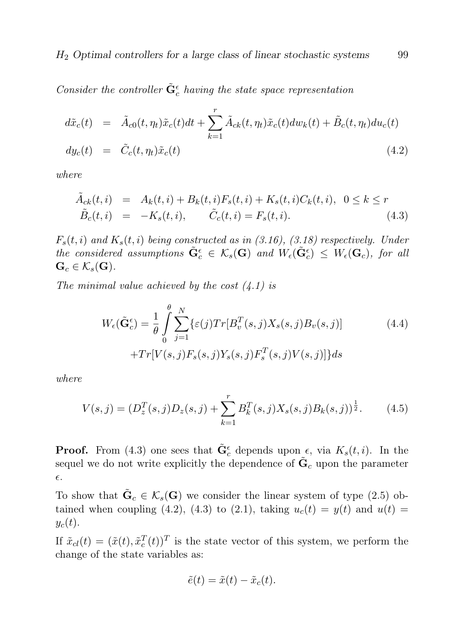Consider the controller  $\tilde{\mathbf{G}}_c^{\epsilon}$  having the state space representation

$$
d\tilde{x}_c(t) = \tilde{A}_{c0}(t, \eta_t)\tilde{x}_c(t)dt + \sum_{k=1}^r \tilde{A}_{ck}(t, \eta_t)\tilde{x}_c(t)dw_k(t) + \tilde{B}_c(t, \eta_t)du_c(t)
$$
  

$$
dy_c(t) = \tilde{C}_c(t, \eta_t)\tilde{x}_c(t)
$$
\n(4.2)

where

$$
\tilde{A}_{ck}(t,i) = A_k(t,i) + B_k(t,i)F_s(t,i) + K_s(t,i)C_k(t,i), \quad 0 \le k \le r
$$
\n
$$
\tilde{B}_c(t,i) = -K_s(t,i), \qquad \tilde{C}_c(t,i) = F_s(t,i). \tag{4.3}
$$

 $F_s(t, i)$  and  $K_s(t, i)$  being constructed as in (3.16), (3.18) respectively. Under the considered assumptions  $\tilde{\mathbf{G}}_c^{\epsilon} \in \mathcal{K}_s(\mathbf{G})$  and  $W_{\epsilon}(\tilde{\mathbf{G}}_c^{\epsilon}) \leq W_{\epsilon}(\mathbf{G}_c)$ , for all  $\mathbf{G}_c \in \mathcal{K}_s(\mathbf{G}).$ 

The minimal value achieved by the cost  $(4.1)$  is

$$
W_{\epsilon}(\tilde{\mathbf{G}}_{c}^{\epsilon}) = \frac{1}{\theta} \int_{0}^{\theta} \sum_{j=1}^{N} \{\varepsilon(j) Tr[B_{v}^{T}(s,j)X_{s}(s,j)B_{v}(s,j)] + Tr[V(s,j)F_{s}(s,j)Y_{s}(s,j)F_{s}^{T}(s,j)V(s,j)]\} ds
$$
\n(4.4)

where

$$
V(s,j) = (D_z^T(s,j)D_z(s,j) + \sum_{k=1}^r B_k^T(s,j)X_s(s,j)B_k(s,j))^{\frac{1}{2}}.
$$
 (4.5)

**Proof.** From (4.3) one sees that  $\tilde{\mathbf{G}}_c^{\epsilon}$  depends upon  $\epsilon$ , via  $K_s(t, i)$ . In the sequel we do not write explicitly the dependence of  $\tilde{\mathbf{G}}_c$  upon the parameter  $\epsilon$ .

To show that  $\tilde{\mathbf{G}}_c \in \mathcal{K}_s(\mathbf{G})$  we consider the linear system of type (2.5) obtained when coupling (4.2), (4.3) to (2.1), taking  $u_c(t) = y(t)$  and  $u(t) =$  $y_c(t)$ .

If  $\tilde{x}_{cl}(t) = (\tilde{x}(t), \tilde{x}_c^T(t))^T$  is the state vector of this system, we perform the change of the state variables as:

$$
\tilde{e}(t) = \tilde{x}(t) - \tilde{x}_c(t).
$$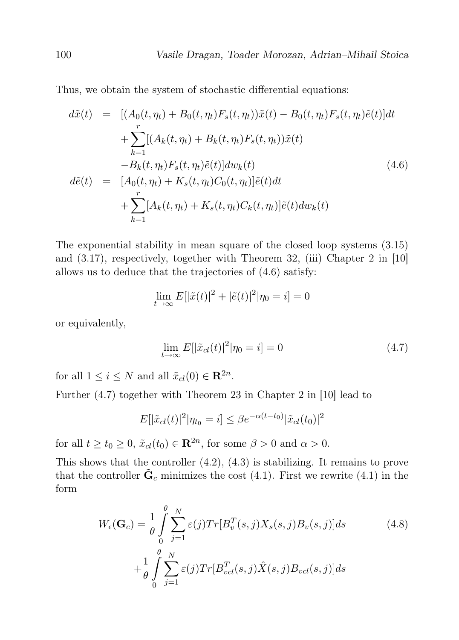Thus, we obtain the system of stochastic differential equations:

$$
d\tilde{x}(t) = [(A_0(t, \eta_t) + B_0(t, \eta_t)F_s(t, \eta_t))\tilde{x}(t) - B_0(t, \eta_t)F_s(t, \eta_t)\tilde{e}(t)]dt + \sum_{k=1}^r [(A_k(t, \eta_t) + B_k(t, \eta_t)F_s(t, \eta_t))\tilde{x}(t) - B_k(t, \eta_t)F_s(t, \eta_t)\tilde{e}(t)]dw_k(t) d\tilde{e}(t) = [A_0(t, \eta_t) + K_s(t, \eta_t)C_0(t, \eta_t)]\tilde{e}(t)dt + \sum_{k=1}^r [A_k(t, \eta_t) + K_s(t, \eta_t)C_k(t, \eta_t)]\tilde{e}(t)dw_k(t)
$$
\n(4.6)

The exponential stability in mean square of the closed loop systems (3.15) and (3.17), respectively, together with Theorem 32, (iii) Chapter 2 in [10] allows us to deduce that the trajectories of (4.6) satisfy:

$$
\lim_{t \to \infty} E[|\tilde{x}(t)|^2 + |\tilde{e}(t)|^2 | \eta_0 = i] = 0
$$

or equivalently,

$$
\lim_{t \to \infty} E[|\tilde{x}_{cl}(t)|^2 | \eta_0 = i] = 0 \tag{4.7}
$$

for all  $1 \leq i \leq N$  and all  $\tilde{x}_{cl}(0) \in \mathbb{R}^{2n}$ .

Further (4.7) together with Theorem 23 in Chapter 2 in [10] lead to

$$
E[|\tilde{x}_{cl}(t)|^2 | \eta_{t_0} = i] \le \beta e^{-\alpha(t - t_0)} |\tilde{x}_{cl}(t_0)|^2
$$

for all  $t \ge t_0 \ge 0$ ,  $\tilde{x}_{cl}(t_0) \in \mathbb{R}^{2n}$ , for some  $\beta > 0$  and  $\alpha > 0$ .

This shows that the controller (4.2), (4.3) is stabilizing. It remains to prove that the controller  $\tilde{\mathbf{G}}_c$  minimizes the cost (4.1). First we rewrite (4.1) in the form

$$
W_{\epsilon}(\mathbf{G}_c) = \frac{1}{\theta} \int_{0}^{\theta} \sum_{j=1}^{N} \varepsilon(j) Tr[B_v^T(s, j) X_s(s, j) B_v(s, j)] ds
$$
  
+ 
$$
\frac{1}{\theta} \int_{0}^{\theta} \sum_{j=1}^{N} \varepsilon(j) Tr[B_{vel}^T(s, j) \hat{X}(s, j) B_{vel}(s, j)] ds
$$
(4.8)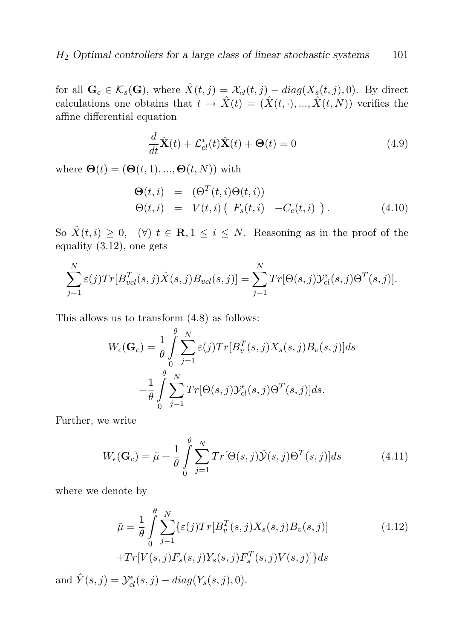for all  $\mathbf{G}_c \in \mathcal{K}_s(\mathbf{G})$ , where  $\hat{X}(t, j) = \mathcal{X}_{cl}(t, j) - diag(X_s(t, j), 0)$ . By direct calculations one obtains that  $t \to \hat{X}(t) = (\hat{X}(t, \cdot), ..., \hat{X}(t, N))$  verifies the affine differential equation

$$
\frac{d}{dt}\hat{\mathbf{X}}(t) + \mathcal{L}_{cl}^*(t)\hat{\mathbf{X}}(t) + \mathbf{\Theta}(t) = 0
$$
\n(4.9)

where  $\mathbf{\Theta}(t) = (\mathbf{\Theta}(t, 1), ..., \mathbf{\Theta}(t, N))$  with

$$
\Theta(t, i) = (\Theta^T(t, i)\Theta(t, i))
$$
  
\n
$$
\Theta(t, i) = V(t, i) (F_s(t, i) -C_c(t, i)).
$$
\n(4.10)

So  $\hat{X}(t, i) \geq 0$ ,  $(\forall)$   $t \in \mathbb{R}, 1 \leq i \leq N$ . Reasoning as in the proof of the equality (3.12), one gets

$$
\sum_{j=1}^{N} \varepsilon(j) Tr[B_{vel}^T(s,j) \hat{X}(s,j) B_{vel}(s,j)] = \sum_{j=1}^{N} Tr[\Theta(s,j) \mathcal{Y}_{cl}^{\varepsilon}(s,j) \Theta^T(s,j)].
$$

This allows us to transform (4.8) as follows:

$$
W_{\epsilon}(\mathbf{G}_c) = \frac{1}{\theta} \int_{0}^{\theta} \sum_{j=1}^{N} \varepsilon(j) Tr[B_v^T(s, j) X_s(s, j) B_v(s, j)] ds
$$
  
+ 
$$
\frac{1}{\theta} \int_{0}^{\theta} \sum_{j=1}^{N} Tr[\Theta(s, j) \mathcal{Y}_{cl}^{\epsilon}(s, j) \Theta^T(s, j)] ds.
$$

Further, we write

$$
W_{\epsilon}(\mathbf{G}_c) = \tilde{\mu} + \frac{1}{\theta} \int_{0}^{\theta} \sum_{j=1}^{N} Tr[\Theta(s,j)\hat{\mathcal{Y}}(s,j)\Theta^T(s,j)]ds \qquad (4.11)
$$

where we denote by

$$
\tilde{\mu} = \frac{1}{\theta} \int_{0}^{\theta} \sum_{j=1}^{N} \{ \varepsilon(j) Tr[B_v^T(s, j) X_s(s, j) B_v(s, j)] + Tr[V(s, j) F_s(s, j) Y_s(s, j) F_s^T(s, j) V(s, j)] \} ds
$$
\n(4.12)

and  $\hat{Y}(s, j) = \mathcal{Y}_{cl}^{\epsilon}(s, j) - diag(Y_s(s, j), 0).$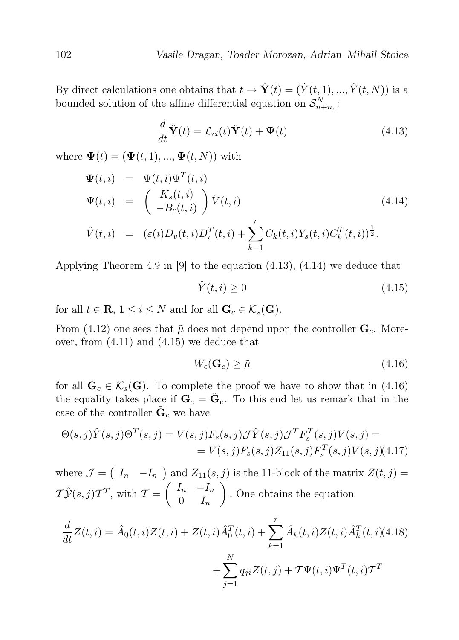By direct calculations one obtains that  $t \to \hat{\mathbf{Y}}(t) = (\hat{Y}(t, 1), ..., \hat{Y}(t, N))$  is a bounded solution of the affine differential equation on  $\mathcal{S}_{n+n_c}^N$ :

$$
\frac{d}{dt}\hat{\mathbf{Y}}(t) = \mathcal{L}_{cl}(t)\hat{\mathbf{Y}}(t) + \mathbf{\Psi}(t)
$$
\n(4.13)

where  $\Psi(t) = (\Psi(t, 1), ..., \Psi(t, N))$  with

$$
\Psi(t, i) = \Psi(t, i)\Psi^{T}(t, i)
$$
\n
$$
\Psi(t, i) = \begin{pmatrix} K_{s}(t, i) \\ -B_{c}(t, i) \end{pmatrix} \hat{V}(t, i)
$$
\n
$$
\hat{V}(t, i) = (\varepsilon(i)D_{v}(t, i)D_{v}^{T}(t, i) + \sum_{i=1}^{r} C_{k}(t, i)Y_{s}(t, i)C_{k}^{T}(t, i))^{\frac{1}{2}}.
$$
\n(4.14)

$$
\hat{V}(t,i) = (\varepsilon(i)D_v(t,i)D_v^T(t,i) + \sum_{k=1} C_k(t,i)Y_s(t,i)C_k^T(t,i))^{\frac{1}{2}}.
$$

Applying Theorem 4.9 in [9] to the equation (4.13), (4.14) we deduce that

$$
\hat{Y}(t,i) \ge 0\tag{4.15}
$$

for all  $t \in \mathbf{R}, 1 \leq i \leq N$  and for all  $\mathbf{G}_c \in \mathcal{K}_s(\mathbf{G})$ .

From (4.12) one sees that  $\tilde{\mu}$  does not depend upon the controller  $\mathbf{G}_c$ . Moreover, from (4.11) and (4.15) we deduce that

$$
W_{\epsilon}(\mathbf{G}_c) \ge \tilde{\mu} \tag{4.16}
$$

for all  $\mathbf{G}_c \in \mathcal{K}_s(\mathbf{G})$ . To complete the proof we have to show that in (4.16) the equality takes place if  $\mathbf{G}_c = \tilde{\mathbf{G}}_c$ . To this end let us remark that in the case of the controller  $\tilde{\mathbf{G}}_c$  we have

$$
\Theta(s,j)\hat{Y}(s,j)\Theta^{T}(s,j) = V(s,j)F_{s}(s,j)\mathcal{J}\hat{Y}(s,j)\mathcal{J}^{T}F_{s}^{T}(s,j)V(s,j) =
$$
  
=  $V(s,j)F_{s}(s,j)Z_{11}(s,j)F_{s}^{T}(s,j)V(s,j)(4.17)$ 

where  $\mathcal{J} = (I_n - I_n)$  and  $Z_{11}(s, j)$  is the 11-block of the matrix  $Z(t, j) =$  $T\hat{\mathcal{Y}}(s, j)T^T$ , with  $\mathcal{T} = \begin{pmatrix} I_n & -I_n \\ 0 & I_n \end{pmatrix}$  $0 \t I_n$ . One obtains the equation

$$
\frac{d}{dt}Z(t,i) = \hat{A}_0(t,i)Z(t,i) + Z(t,i)\hat{A}_0^T(t,i) + \sum_{k=1}^r \hat{A}_k(t,i)Z(t,i)\hat{A}_k^T(t,i)(4.18) + \sum_{j=1}^N q_{ji}Z(t,j) + \mathcal{T}\Psi(t,i)\Psi^T(t,i)\mathcal{T}^T
$$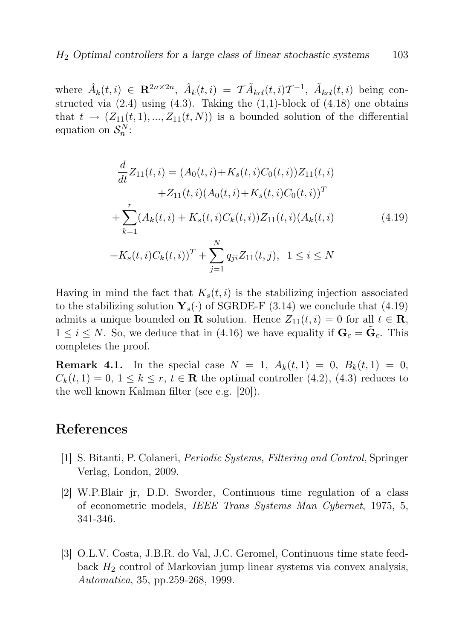where  $\hat{A}_k(t,i) \in \mathbf{R}^{2n \times 2n}$ ,  $\hat{A}_k(t,i) = \mathcal{T} \tilde{A}_{kcl}(t,i) \mathcal{T}^{-1}$ ,  $\tilde{A}_{kcl}(t,i)$  being constructed via  $(2.4)$  using  $(4.3)$ . Taking the  $(1,1)$ -block of  $(4.18)$  one obtains that  $t \to (Z_{11}(t,1),...,Z_{11}(t,N))$  is a bounded solution of the differential equation on  $\mathcal{S}_n^N$ :

$$
\frac{d}{dt}Z_{11}(t,i) = (A_0(t,i) + K_s(t,i)C_0(t,i))Z_{11}(t,i) \n+ Z_{11}(t,i)(A_0(t,i) + K_s(t,i)C_0(t,i))^T \n+ \sum_{k=1}^r (A_k(t,i) + K_s(t,i)C_k(t,i))Z_{11}(t,i)(A_k(t,i) \n+ K_s(t,i)C_k(t,i))^T + \sum_{j=1}^N q_{ji}Z_{11}(t,j), \quad 1 \le i \le N
$$
\n(4.19)

Having in mind the fact that  $K_s(t, i)$  is the stabilizing injection associated to the stabilizing solution  $\mathbf{Y}_s(\cdot)$  of SGRDE-F (3.14) we conclude that (4.19) admits a unique bounded on **R** solution. Hence  $Z_{11}(t, i) = 0$  for all  $t \in \mathbf{R}$ ,  $1 \leq i \leq N$ . So, we deduce that in (4.16) we have equality if  $\mathbf{G}_c = \tilde{\mathbf{G}}_c$ . This completes the proof.

**Remark 4.1.** In the special case  $N = 1$ ,  $A_k(t, 1) = 0$ ,  $B_k(t, 1) = 0$ ,  $C_k(t, 1) = 0, 1 \leq k \leq r, t \in \mathbb{R}$  the optimal controller (4.2), (4.3) reduces to the well known Kalman filter (see e.g. [20]).

## References

- [1] S. Bitanti, P. Colaneri, Periodic Systems, Filtering and Control, Springer Verlag, London, 2009.
- [2] W.P.Blair jr, D.D. Sworder, Continuous time regulation of a class of econometric models, IEEE Trans Systems Man Cybernet, 1975, 5, 341-346.
- [3] O.L.V. Costa, J.B.R. do Val, J.C. Geromel, Continuous time state feedback  $H_2$  control of Markovian jump linear systems via convex analysis, Automatica, 35, pp.259-268, 1999.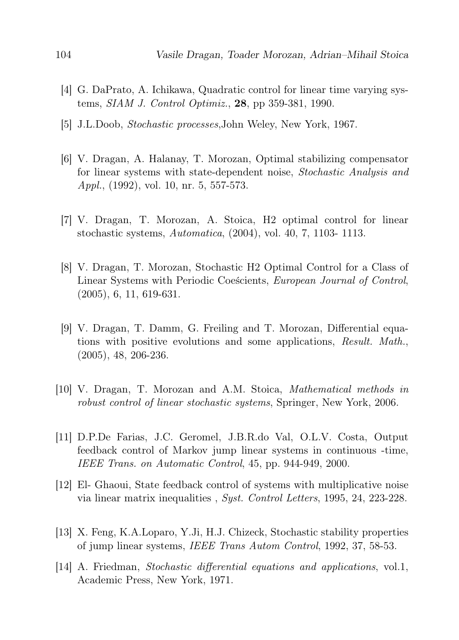- [4] G. DaPrato, A. Ichikawa, Quadratic control for linear time varying systems, SIAM J. Control Optimiz., 28, pp 359-381, 1990.
- [5] J.L.Doob, Stochastic processes,John Weley, New York, 1967.
- [6] V. Dragan, A. Halanay, T. Morozan, Optimal stabilizing compensator for linear systems with state-dependent noise, Stochastic Analysis and Appl., (1992), vol. 10, nr. 5, 557-573.
- [7] V. Dragan, T. Morozan, A. Stoica, H2 optimal control for linear stochastic systems, Automatica, (2004), vol. 40, 7, 1103- 1113.
- [8] V. Dragan, T. Morozan, Stochastic H2 Optimal Control for a Class of Linear Systems with Periodic Coeścients, European Journal of Control, (2005), 6, 11, 619-631.
- [9] V. Dragan, T. Damm, G. Freiling and T. Morozan, Differential equations with positive evolutions and some applications, Result. Math., (2005), 48, 206-236.
- [10] V. Dragan, T. Morozan and A.M. Stoica, Mathematical methods in robust control of linear stochastic systems, Springer, New York, 2006.
- [11] D.P.De Farias, J.C. Geromel, J.B.R.do Val, O.L.V. Costa, Output feedback control of Markov jump linear systems in continuous -time, IEEE Trans. on Automatic Control, 45, pp. 944-949, 2000.
- [12] El- Ghaoui, State feedback control of systems with multiplicative noise via linear matrix inequalities , Syst. Control Letters, 1995, 24, 223-228.
- [13] X. Feng, K.A.Loparo, Y.Ji, H.J. Chizeck, Stochastic stability properties of jump linear systems, IEEE Trans Autom Control, 1992, 37, 58-53.
- [14] A. Friedman, Stochastic differential equations and applications, vol.1, Academic Press, New York, 1971.